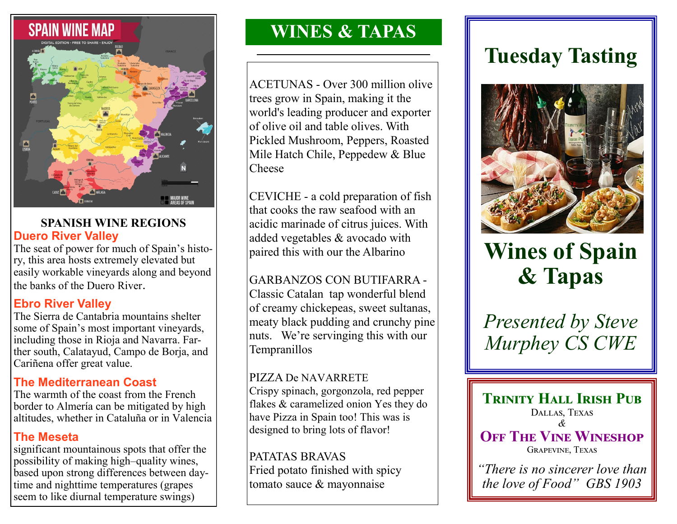

### **SPANISH WINE REGIONS Duero River Valley**

The seat of power for much of Spain's history, this area hosts extremely elevated but easily workable vineyards along and beyond the banks of the Duero River.

# **Ebro River Valley**

The Sierra de Cantabria mountains shelter some of Spain's most important vineyards, including those in Rioja and Navarra. Farther south, Calatayud, Campo de Borja, and Cariñena offer great value.

### **The Mediterranean Coast**

The warmth of the coast from the French border to Almería can be mitigated by high altitudes, whether in Cataluña or in Valencia

## **The Meseta**

significant mountainous spots that offer the possibility of making high–quality wines, based upon strong differences between daytime and nighttime temperatures (grapes seem to like diurnal temperature swings)

# **WINES & TAPAS**

ACETUNAS - Over 300 million olive trees grow in Spain, making it the world's leading producer and exporter of olive oil and table olives. With Pickled Mushroom, Peppers, Roasted Mile Hatch Chile, Peppedew & Blue Cheese

CEVICHE - a cold preparation of fish that cooks the raw seafood with an acidic marinade of citrus juices. With added vegetables & avocado with paired this with our the Albarino

## GARBANZOS CON BUTIFARRA -

Classic Catalan tap wonderful blend of creamy chickepeas, sweet sultanas, meaty black pudding and crunchy pine nuts. We're servinging this with our Tempranillos

### PIZZA De NAVARRETE

Crispy spinach, gorgonzola, red pepper flakes & caramelized onion Yes they do have Pizza in Spain too! This was is designed to bring lots of flavor!

PATATAS BRAVAS Fried potato finished with spicy tomato sauce & mayonnaise

# **Tuesday Tasting**



# **Wines of Spain & Tapas**

*Presented by Steve Murphey CS CWE* 

**TRINITY HALL IRISH PUB** Dallas, Texas *&*  **OFF THE VINE WINESHOP** Grapevine, Texas

*"There is no sincerer love than the love of Food" GBS 1903*